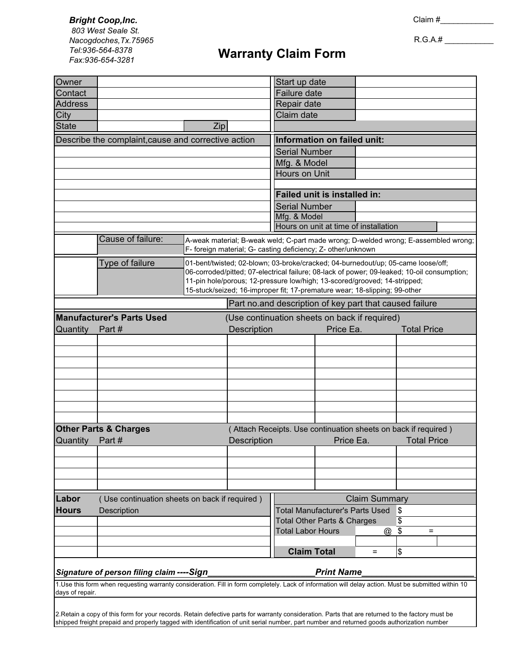*Bright Coop,Inc.* **<sup>13</sup>** Claim #\_\_\_\_\_\_\_\_\_\_\_\_  *803 West Seale St. Nacogdoches,Tx.75965 Tel:936-564-8378*

R.G.A.# \_\_\_\_\_\_\_\_\_\_\_

## *Fax:936-654-3281* **Warranty Claim Form Warranty Claim Form**

| Owner                                                                                                                                                                  |                                                                                                     |                                                                                                                                                         | Start up date                                                                                                                                       |                                        |                                        |                    |    |  |  |
|------------------------------------------------------------------------------------------------------------------------------------------------------------------------|-----------------------------------------------------------------------------------------------------|---------------------------------------------------------------------------------------------------------------------------------------------------------|-----------------------------------------------------------------------------------------------------------------------------------------------------|----------------------------------------|----------------------------------------|--------------------|----|--|--|
| Contact                                                                                                                                                                |                                                                                                     |                                                                                                                                                         | Failure date                                                                                                                                        |                                        |                                        |                    |    |  |  |
| <b>Address</b>                                                                                                                                                         |                                                                                                     |                                                                                                                                                         | Repair date                                                                                                                                         |                                        |                                        |                    |    |  |  |
| City                                                                                                                                                                   |                                                                                                     |                                                                                                                                                         | Claim date                                                                                                                                          |                                        |                                        |                    |    |  |  |
| State                                                                                                                                                                  |                                                                                                     | Zip                                                                                                                                                     |                                                                                                                                                     |                                        |                                        |                    |    |  |  |
|                                                                                                                                                                        | Describe the complaint, cause and corrective action                                                 |                                                                                                                                                         | Information on failed unit:                                                                                                                         |                                        |                                        |                    |    |  |  |
|                                                                                                                                                                        |                                                                                                     |                                                                                                                                                         | <b>Serial Number</b>                                                                                                                                |                                        |                                        |                    |    |  |  |
|                                                                                                                                                                        |                                                                                                     |                                                                                                                                                         | Mfg. & Model                                                                                                                                        |                                        |                                        |                    |    |  |  |
|                                                                                                                                                                        |                                                                                                     |                                                                                                                                                         | <b>Hours on Unit</b>                                                                                                                                |                                        |                                        |                    |    |  |  |
|                                                                                                                                                                        |                                                                                                     |                                                                                                                                                         |                                                                                                                                                     |                                        |                                        |                    |    |  |  |
|                                                                                                                                                                        |                                                                                                     |                                                                                                                                                         | <b>Failed unit is installed in:</b>                                                                                                                 |                                        |                                        |                    |    |  |  |
|                                                                                                                                                                        |                                                                                                     | <b>Serial Number</b>                                                                                                                                    |                                                                                                                                                     |                                        |                                        |                    |    |  |  |
|                                                                                                                                                                        |                                                                                                     | Mfg. & Model<br>Hours on unit at time of installation                                                                                                   |                                                                                                                                                     |                                        |                                        |                    |    |  |  |
|                                                                                                                                                                        |                                                                                                     |                                                                                                                                                         |                                                                                                                                                     |                                        |                                        |                    |    |  |  |
|                                                                                                                                                                        | Cause of failure:                                                                                   |                                                                                                                                                         | A-weak material; B-weak weld; C-part made wrong; D-welded wrong; E-assembled wrong;<br>F- foreign material; G- casting deficiency; Z- other/unknown |                                        |                                        |                    |    |  |  |
|                                                                                                                                                                        | Type of failure<br>01-bent/twisted; 02-blown; 03-broke/cracked; 04-burnedout/up; 05-came loose/off; |                                                                                                                                                         |                                                                                                                                                     |                                        |                                        |                    |    |  |  |
|                                                                                                                                                                        |                                                                                                     | 06-corroded/pitted; 07-electrical failure; 08-lack of power; 09-leaked; 10-oil consumption;                                                             |                                                                                                                                                     |                                        |                                        |                    |    |  |  |
|                                                                                                                                                                        |                                                                                                     | 11-pin hole/porous; 12-pressure low/high; 13-scored/grooved; 14-stripped;<br>15-stuck/seized; 16-improper fit; 17-premature wear; 18-slipping; 99-other |                                                                                                                                                     |                                        |                                        |                    |    |  |  |
|                                                                                                                                                                        |                                                                                                     |                                                                                                                                                         |                                                                                                                                                     |                                        |                                        |                    |    |  |  |
|                                                                                                                                                                        |                                                                                                     |                                                                                                                                                         | Part no.and description of key part that caused failure                                                                                             |                                        |                                        |                    |    |  |  |
|                                                                                                                                                                        | <b>Manufacturer's Parts Used</b><br>(Use continuation sheets on back if required)                   |                                                                                                                                                         |                                                                                                                                                     |                                        |                                        |                    |    |  |  |
| <b>Quantity</b>                                                                                                                                                        | Part#                                                                                               |                                                                                                                                                         | <b>Description</b>                                                                                                                                  |                                        | Price Ea.                              | <b>Total Price</b> |    |  |  |
|                                                                                                                                                                        |                                                                                                     |                                                                                                                                                         |                                                                                                                                                     |                                        |                                        |                    |    |  |  |
|                                                                                                                                                                        |                                                                                                     |                                                                                                                                                         |                                                                                                                                                     |                                        |                                        |                    |    |  |  |
|                                                                                                                                                                        |                                                                                                     |                                                                                                                                                         |                                                                                                                                                     |                                        |                                        |                    |    |  |  |
|                                                                                                                                                                        |                                                                                                     |                                                                                                                                                         |                                                                                                                                                     |                                        |                                        |                    |    |  |  |
|                                                                                                                                                                        |                                                                                                     |                                                                                                                                                         |                                                                                                                                                     |                                        |                                        |                    |    |  |  |
|                                                                                                                                                                        |                                                                                                     |                                                                                                                                                         |                                                                                                                                                     |                                        |                                        |                    |    |  |  |
|                                                                                                                                                                        |                                                                                                     |                                                                                                                                                         |                                                                                                                                                     |                                        |                                        |                    |    |  |  |
|                                                                                                                                                                        | <b>Other Parts &amp; Charges</b>                                                                    |                                                                                                                                                         | (Attach Receipts. Use continuation sheets on back if required)                                                                                      |                                        |                                        |                    |    |  |  |
| Quantity                                                                                                                                                               | Part#                                                                                               | <b>Description</b>                                                                                                                                      |                                                                                                                                                     | Price Ea.                              |                                        | <b>Total Price</b> |    |  |  |
|                                                                                                                                                                        |                                                                                                     |                                                                                                                                                         |                                                                                                                                                     |                                        |                                        |                    |    |  |  |
|                                                                                                                                                                        |                                                                                                     |                                                                                                                                                         |                                                                                                                                                     |                                        |                                        |                    |    |  |  |
|                                                                                                                                                                        |                                                                                                     |                                                                                                                                                         |                                                                                                                                                     |                                        |                                        |                    |    |  |  |
|                                                                                                                                                                        |                                                                                                     |                                                                                                                                                         |                                                                                                                                                     |                                        |                                        |                    |    |  |  |
| Labor                                                                                                                                                                  | <b>Claim Summary</b><br>(Use continuation sheets on back if required)                               |                                                                                                                                                         |                                                                                                                                                     |                                        |                                        |                    |    |  |  |
| <b>Hours</b>                                                                                                                                                           | Description                                                                                         |                                                                                                                                                         |                                                                                                                                                     | <b>Total Manufacturer's Parts Used</b> |                                        |                    | \$ |  |  |
|                                                                                                                                                                        |                                                                                                     |                                                                                                                                                         |                                                                                                                                                     |                                        | <b>Total Other Parts &amp; Charges</b> |                    |    |  |  |
|                                                                                                                                                                        |                                                                                                     |                                                                                                                                                         | <b>Total Labor Hours</b>                                                                                                                            |                                        | @                                      | \$<br>\$<br>Ξ      |    |  |  |
|                                                                                                                                                                        |                                                                                                     |                                                                                                                                                         |                                                                                                                                                     |                                        |                                        |                    |    |  |  |
|                                                                                                                                                                        |                                                                                                     |                                                                                                                                                         | <b>Claim Total</b>                                                                                                                                  |                                        | Ξ                                      | \$                 |    |  |  |
|                                                                                                                                                                        |                                                                                                     |                                                                                                                                                         |                                                                                                                                                     |                                        |                                        |                    |    |  |  |
|                                                                                                                                                                        | Signature of person filing claim ---- Sign                                                          |                                                                                                                                                         |                                                                                                                                                     | <b>Print Name</b>                      |                                        |                    |    |  |  |
| 1.Use this form when requesting warranty consideration. Fill in form completely. Lack of information will delay action. Must be submitted within 10<br>days of repair. |                                                                                                     |                                                                                                                                                         |                                                                                                                                                     |                                        |                                        |                    |    |  |  |
|                                                                                                                                                                        |                                                                                                     |                                                                                                                                                         |                                                                                                                                                     |                                        |                                        |                    |    |  |  |
|                                                                                                                                                                        |                                                                                                     | 2. Retain a copy of this form for your records. Retain defective parts for warranty consideration. Parts that are returned to the factory must be       |                                                                                                                                                     |                                        |                                        |                    |    |  |  |
|                                                                                                                                                                        |                                                                                                     | shipped freight prepaid and properly tagged with identification of unit serial number, part number and returned goods authorization number              |                                                                                                                                                     |                                        |                                        |                    |    |  |  |